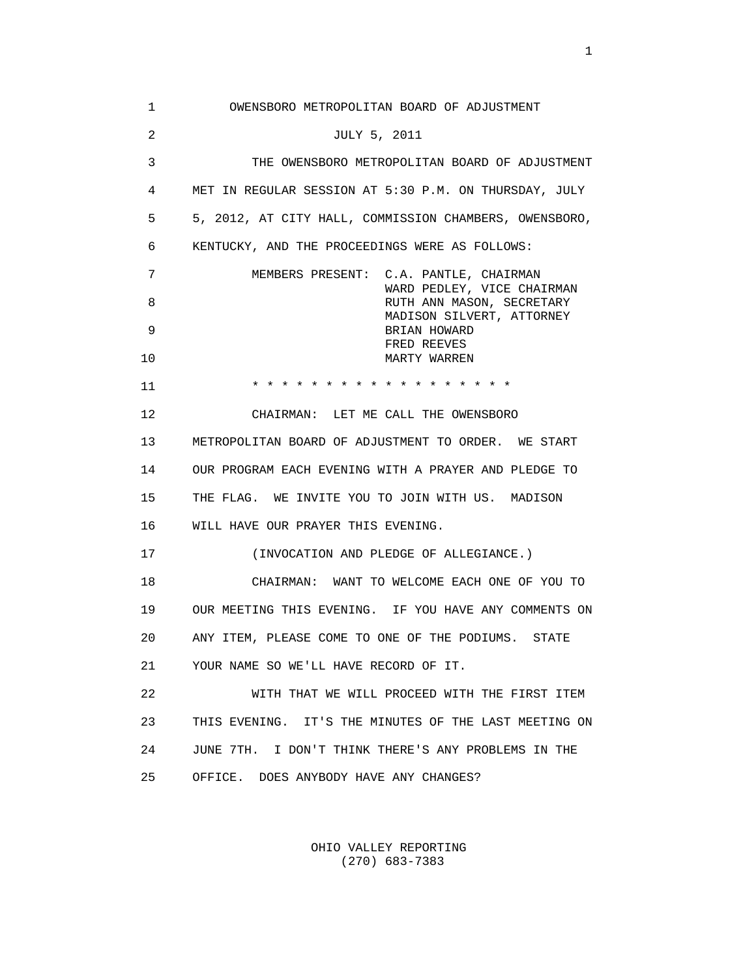1 OWENSBORO METROPOLITAN BOARD OF ADJUSTMENT 2 JULY 5, 2011 3 THE OWENSBORO METROPOLITAN BOARD OF ADJUSTMENT 4 MET IN REGULAR SESSION AT 5:30 P.M. ON THURSDAY, JULY 5 5, 2012, AT CITY HALL, COMMISSION CHAMBERS, OWENSBORO, 6 KENTUCKY, AND THE PROCEEDINGS WERE AS FOLLOWS: 7 MEMBERS PRESENT: C.A. PANTLE, CHAIRMAN WARD PEDLEY, VICE CHAIRMAN 8 **B** RUTH ANN MASON, SECRETARY MADISON SILVERT, ATTORNEY 9 BRIAN HOWARD FRED REEVES 10 MARTY WARREN 11 \* \* \* \* \* \* \* \* \* \* \* \* \* \* \* \* \* \* 12 CHAIRMAN: LET ME CALL THE OWENSBORO 13 METROPOLITAN BOARD OF ADJUSTMENT TO ORDER. WE START 14 OUR PROGRAM EACH EVENING WITH A PRAYER AND PLEDGE TO 15 THE FLAG. WE INVITE YOU TO JOIN WITH US. MADISON 16 WILL HAVE OUR PRAYER THIS EVENING. 17 (INVOCATION AND PLEDGE OF ALLEGIANCE.) 18 CHAIRMAN: WANT TO WELCOME EACH ONE OF YOU TO 19 OUR MEETING THIS EVENING. IF YOU HAVE ANY COMMENTS ON 20 ANY ITEM, PLEASE COME TO ONE OF THE PODIUMS. STATE 21 YOUR NAME SO WE'LL HAVE RECORD OF IT. 22 WITH THAT WE WILL PROCEED WITH THE FIRST ITEM 23 THIS EVENING. IT'S THE MINUTES OF THE LAST MEETING ON 24 JUNE 7TH. I DON'T THINK THERE'S ANY PROBLEMS IN THE 25 OFFICE. DOES ANYBODY HAVE ANY CHANGES?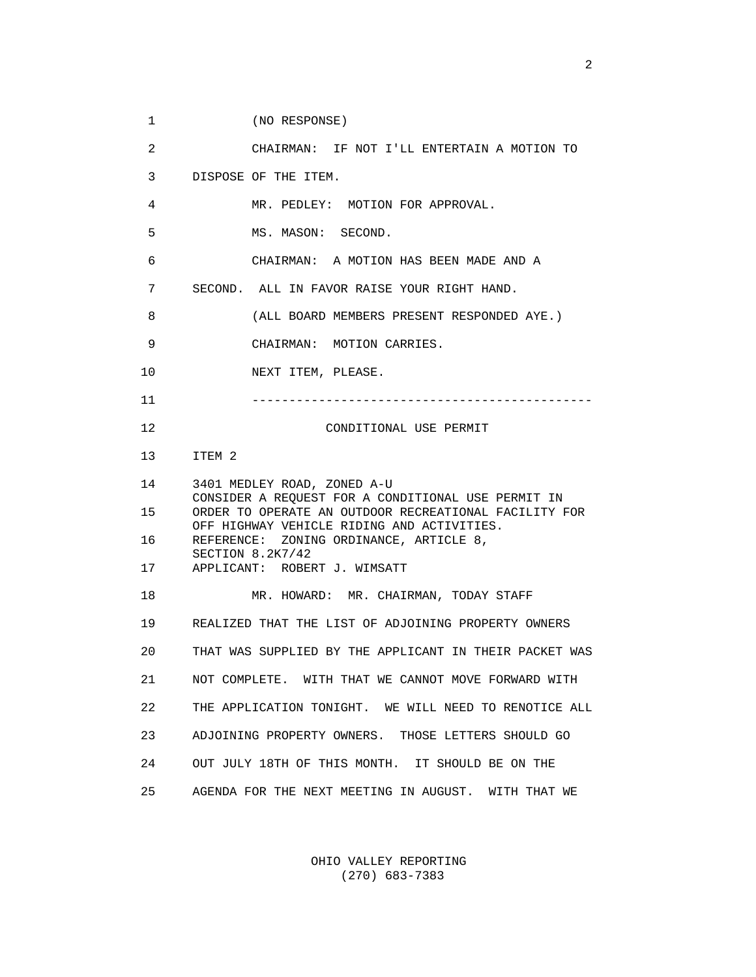1 (NO RESPONSE)

 2 CHAIRMAN: IF NOT I'LL ENTERTAIN A MOTION TO 3 DISPOSE OF THE ITEM. 4 MR. PEDLEY: MOTION FOR APPROVAL. 5 MS. MASON: SECOND. 6 CHAIRMAN: A MOTION HAS BEEN MADE AND A 7 SECOND. ALL IN FAVOR RAISE YOUR RIGHT HAND. 8 (ALL BOARD MEMBERS PRESENT RESPONDED AYE.) 9 CHAIRMAN: MOTION CARRIES. 10 NEXT ITEM, PLEASE. 11 ---------------------------------------------- 12 CONDITIONAL USE PERMIT 13 ITEM 2 14 3401 MEDLEY ROAD, ZONED A-U CONSIDER A REQUEST FOR A CONDITIONAL USE PERMIT IN 15 ORDER TO OPERATE AN OUTDOOR RECREATIONAL FACILITY FOR OFF HIGHWAY VEHICLE RIDING AND ACTIVITIES. 16 REFERENCE: ZONING ORDINANCE, ARTICLE 8, SECTION 8.2K7/42 17 APPLICANT: ROBERT J. WIMSATT 18 MR. HOWARD: MR. CHAIRMAN, TODAY STAFF 19 REALIZED THAT THE LIST OF ADJOINING PROPERTY OWNERS 20 THAT WAS SUPPLIED BY THE APPLICANT IN THEIR PACKET WAS 21 NOT COMPLETE. WITH THAT WE CANNOT MOVE FORWARD WITH 22 THE APPLICATION TONIGHT. WE WILL NEED TO RENOTICE ALL 23 ADJOINING PROPERTY OWNERS. THOSE LETTERS SHOULD GO 24 OUT JULY 18TH OF THIS MONTH. IT SHOULD BE ON THE 25 AGENDA FOR THE NEXT MEETING IN AUGUST. WITH THAT WE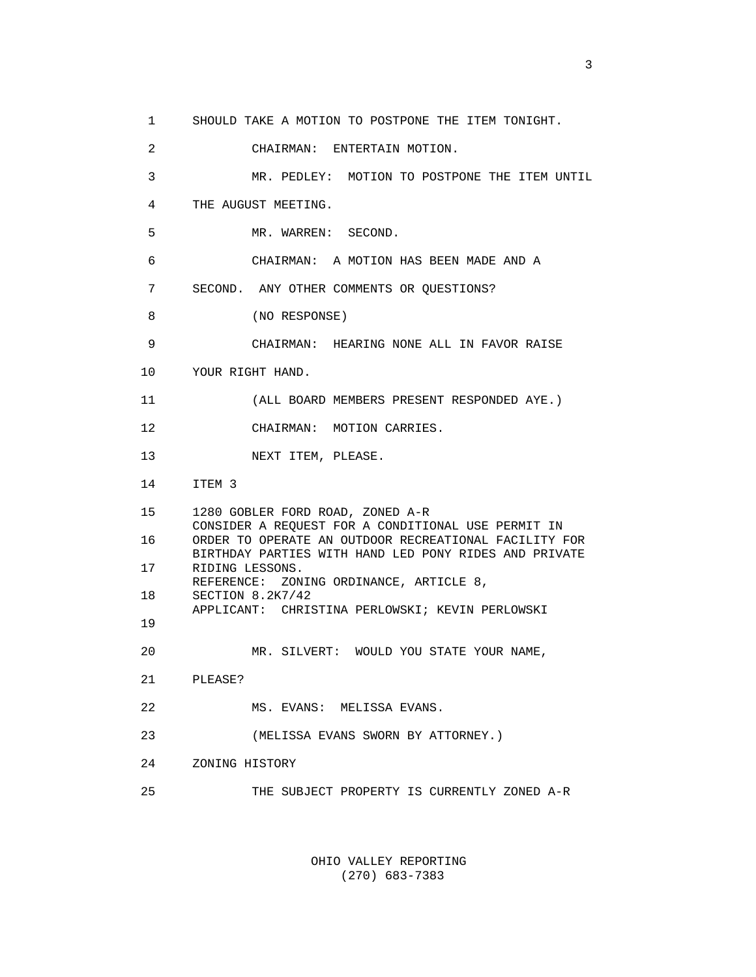1 SHOULD TAKE A MOTION TO POSTPONE THE ITEM TONIGHT.

 2 CHAIRMAN: ENTERTAIN MOTION. 3 MR. PEDLEY: MOTION TO POSTPONE THE ITEM UNTIL 4 THE AUGUST MEETING. 5 MR. WARREN: SECOND. 6 CHAIRMAN: A MOTION HAS BEEN MADE AND A 7 SECOND. ANY OTHER COMMENTS OR QUESTIONS? 8 (NO RESPONSE) 9 CHAIRMAN: HEARING NONE ALL IN FAVOR RAISE 10 YOUR RIGHT HAND. 11 (ALL BOARD MEMBERS PRESENT RESPONDED AYE.) 12 CHAIRMAN: MOTION CARRIES. 13 NEXT ITEM, PLEASE. 14 ITEM 3 15 1280 GOBLER FORD ROAD, ZONED A-R CONSIDER A REQUEST FOR A CONDITIONAL USE PERMIT IN 16 ORDER TO OPERATE AN OUTDOOR RECREATIONAL FACILITY FOR BIRTHDAY PARTIES WITH HAND LED PONY RIDES AND PRIVATE 17 RIDING LESSONS. REFERENCE: ZONING ORDINANCE, ARTICLE 8, 18 SECTION 8.2K7/42 APPLICANT: CHRISTINA PERLOWSKI; KEVIN PERLOWSKI 19 20 MR. SILVERT: WOULD YOU STATE YOUR NAME, 21 PLEASE? 22 MS. EVANS: MELISSA EVANS. 23 (MELISSA EVANS SWORN BY ATTORNEY.) 24 ZONING HISTORY 25 THE SUBJECT PROPERTY IS CURRENTLY ZONED A-R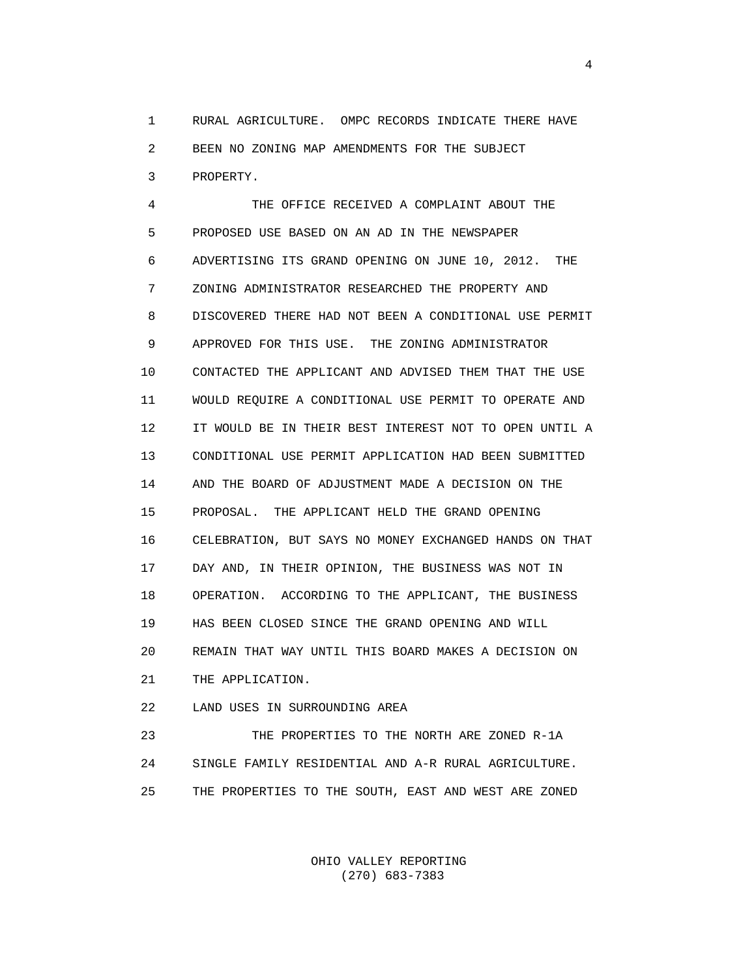1 RURAL AGRICULTURE. OMPC RECORDS INDICATE THERE HAVE 2 BEEN NO ZONING MAP AMENDMENTS FOR THE SUBJECT 3 PROPERTY.

 4 THE OFFICE RECEIVED A COMPLAINT ABOUT THE 5 PROPOSED USE BASED ON AN AD IN THE NEWSPAPER 6 ADVERTISING ITS GRAND OPENING ON JUNE 10, 2012. THE 7 ZONING ADMINISTRATOR RESEARCHED THE PROPERTY AND 8 DISCOVERED THERE HAD NOT BEEN A CONDITIONAL USE PERMIT 9 APPROVED FOR THIS USE. THE ZONING ADMINISTRATOR 10 CONTACTED THE APPLICANT AND ADVISED THEM THAT THE USE 11 WOULD REQUIRE A CONDITIONAL USE PERMIT TO OPERATE AND 12 IT WOULD BE IN THEIR BEST INTEREST NOT TO OPEN UNTIL A 13 CONDITIONAL USE PERMIT APPLICATION HAD BEEN SUBMITTED 14 AND THE BOARD OF ADJUSTMENT MADE A DECISION ON THE 15 PROPOSAL. THE APPLICANT HELD THE GRAND OPENING 16 CELEBRATION, BUT SAYS NO MONEY EXCHANGED HANDS ON THAT 17 DAY AND, IN THEIR OPINION, THE BUSINESS WAS NOT IN 18 OPERATION. ACCORDING TO THE APPLICANT, THE BUSINESS 19 HAS BEEN CLOSED SINCE THE GRAND OPENING AND WILL 20 REMAIN THAT WAY UNTIL THIS BOARD MAKES A DECISION ON 21 THE APPLICATION.

22 LAND USES IN SURROUNDING AREA

 23 THE PROPERTIES TO THE NORTH ARE ZONED R-1A 24 SINGLE FAMILY RESIDENTIAL AND A-R RURAL AGRICULTURE. 25 THE PROPERTIES TO THE SOUTH, EAST AND WEST ARE ZONED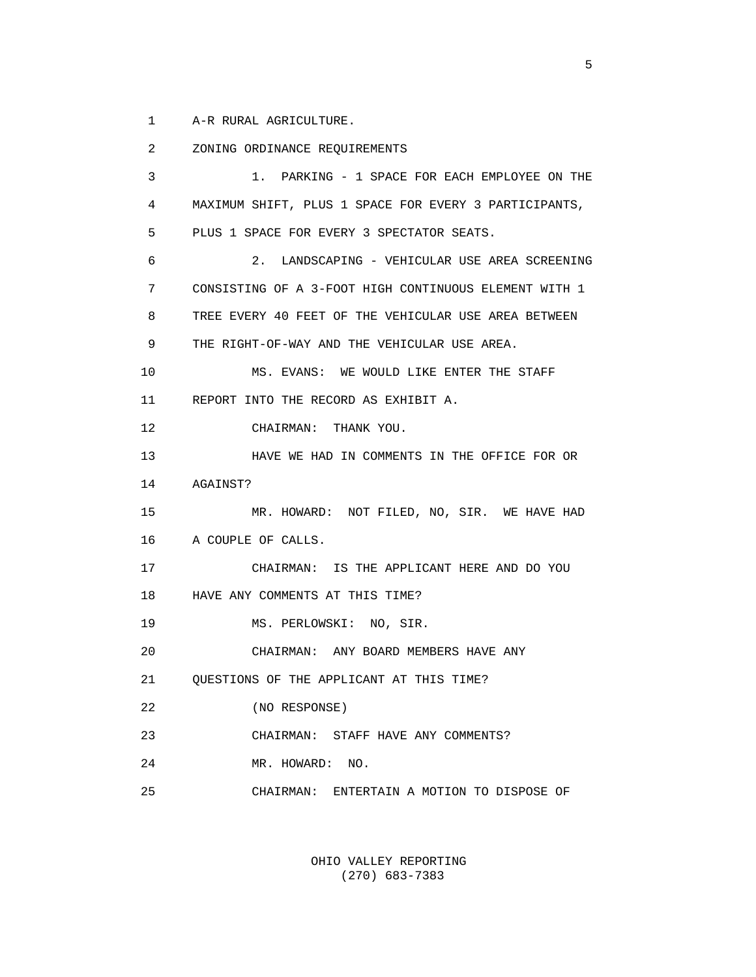1 A-R RURAL AGRICULTURE.

 2 ZONING ORDINANCE REQUIREMENTS 3 1. PARKING - 1 SPACE FOR EACH EMPLOYEE ON THE 4 MAXIMUM SHIFT, PLUS 1 SPACE FOR EVERY 3 PARTICIPANTS, 5 PLUS 1 SPACE FOR EVERY 3 SPECTATOR SEATS. 6 2. LANDSCAPING - VEHICULAR USE AREA SCREENING 7 CONSISTING OF A 3-FOOT HIGH CONTINUOUS ELEMENT WITH 1 8 TREE EVERY 40 FEET OF THE VEHICULAR USE AREA BETWEEN 9 THE RIGHT-OF-WAY AND THE VEHICULAR USE AREA. 10 MS. EVANS: WE WOULD LIKE ENTER THE STAFF 11 REPORT INTO THE RECORD AS EXHIBIT A. 12 CHAIRMAN: THANK YOU. 13 HAVE WE HAD IN COMMENTS IN THE OFFICE FOR OR 14 AGAINST? 15 MR. HOWARD: NOT FILED, NO, SIR. WE HAVE HAD 16 A COUPLE OF CALLS. 17 CHAIRMAN: IS THE APPLICANT HERE AND DO YOU 18 HAVE ANY COMMENTS AT THIS TIME? 19 MS. PERLOWSKI: NO, SIR. 20 CHAIRMAN: ANY BOARD MEMBERS HAVE ANY 21 QUESTIONS OF THE APPLICANT AT THIS TIME? 22 (NO RESPONSE) 23 CHAIRMAN: STAFF HAVE ANY COMMENTS? 24 MR. HOWARD: NO. 25 CHAIRMAN: ENTERTAIN A MOTION TO DISPOSE OF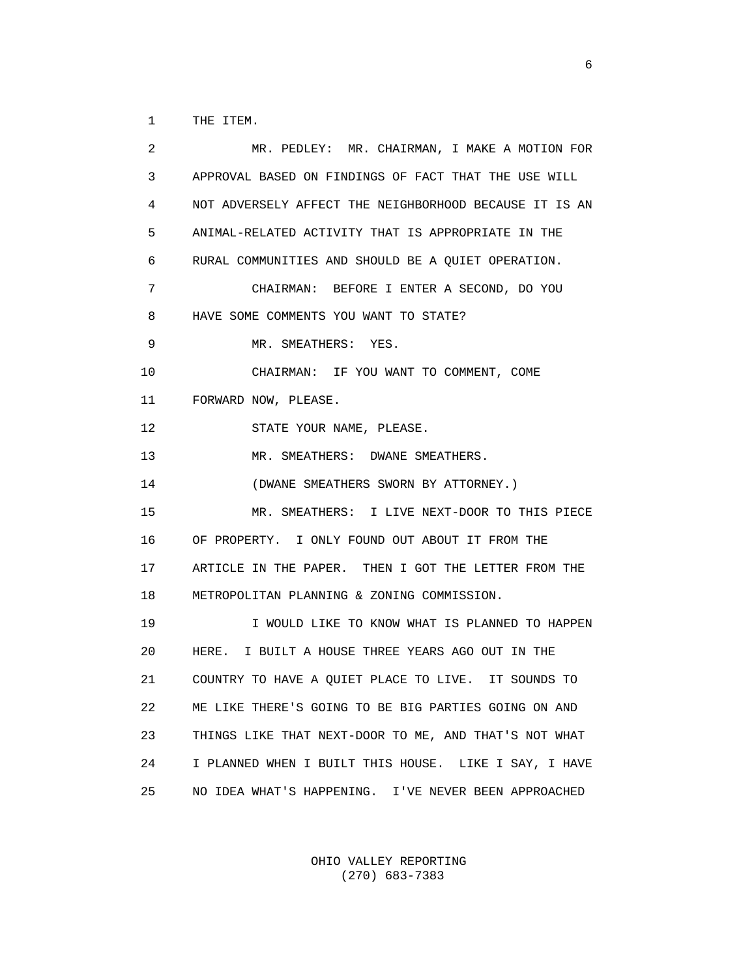1 THE ITEM.

 2 MR. PEDLEY: MR. CHAIRMAN, I MAKE A MOTION FOR 3 APPROVAL BASED ON FINDINGS OF FACT THAT THE USE WILL 4 NOT ADVERSELY AFFECT THE NEIGHBORHOOD BECAUSE IT IS AN 5 ANIMAL-RELATED ACTIVITY THAT IS APPROPRIATE IN THE 6 RURAL COMMUNITIES AND SHOULD BE A QUIET OPERATION. 7 CHAIRMAN: BEFORE I ENTER A SECOND, DO YOU 8 HAVE SOME COMMENTS YOU WANT TO STATE? 9 MR. SMEATHERS: YES. 10 CHAIRMAN: IF YOU WANT TO COMMENT, COME 11 FORWARD NOW, PLEASE. 12 STATE YOUR NAME, PLEASE. 13 MR. SMEATHERS: DWANE SMEATHERS. 14 (DWANE SMEATHERS SWORN BY ATTORNEY.) 15 MR. SMEATHERS: I LIVE NEXT-DOOR TO THIS PIECE 16 OF PROPERTY. I ONLY FOUND OUT ABOUT IT FROM THE 17 ARTICLE IN THE PAPER. THEN I GOT THE LETTER FROM THE 18 METROPOLITAN PLANNING & ZONING COMMISSION. 19 **I WOULD LIKE TO KNOW WHAT IS PLANNED TO HAPPEN**  20 HERE. I BUILT A HOUSE THREE YEARS AGO OUT IN THE 21 COUNTRY TO HAVE A QUIET PLACE TO LIVE. IT SOUNDS TO 22 ME LIKE THERE'S GOING TO BE BIG PARTIES GOING ON AND 23 THINGS LIKE THAT NEXT-DOOR TO ME, AND THAT'S NOT WHAT 24 I PLANNED WHEN I BUILT THIS HOUSE. LIKE I SAY, I HAVE 25 NO IDEA WHAT'S HAPPENING. I'VE NEVER BEEN APPROACHED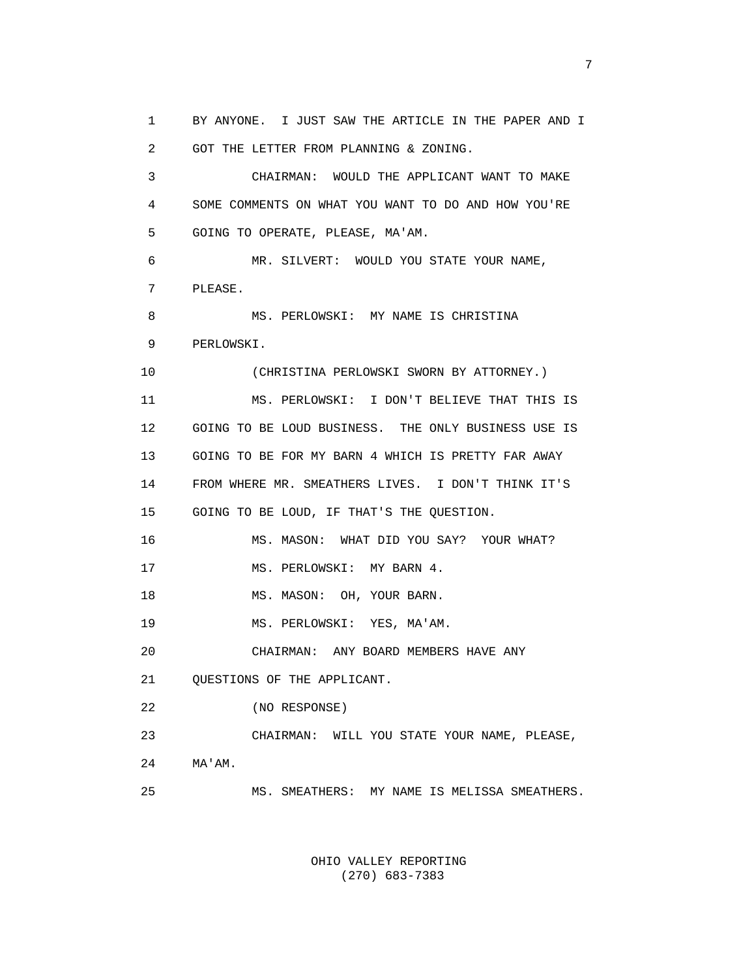1 BY ANYONE. I JUST SAW THE ARTICLE IN THE PAPER AND I 2 GOT THE LETTER FROM PLANNING & ZONING. 3 CHAIRMAN: WOULD THE APPLICANT WANT TO MAKE 4 SOME COMMENTS ON WHAT YOU WANT TO DO AND HOW YOU'RE 5 GOING TO OPERATE, PLEASE, MA'AM. 6 MR. SILVERT: WOULD YOU STATE YOUR NAME, 7 PLEASE. 8 MS. PERLOWSKI: MY NAME IS CHRISTINA 9 PERLOWSKI. 10 (CHRISTINA PERLOWSKI SWORN BY ATTORNEY.) 11 MS. PERLOWSKI: I DON'T BELIEVE THAT THIS IS 12 GOING TO BE LOUD BUSINESS. THE ONLY BUSINESS USE IS 13 GOING TO BE FOR MY BARN 4 WHICH IS PRETTY FAR AWAY 14 FROM WHERE MR. SMEATHERS LIVES. I DON'T THINK IT'S 15 GOING TO BE LOUD, IF THAT'S THE QUESTION. 16 MS. MASON: WHAT DID YOU SAY? YOUR WHAT? 17 MS. PERLOWSKI: MY BARN 4. 18 MS. MASON: OH, YOUR BARN. 19 MS. PERLOWSKI: YES, MA'AM. 20 CHAIRMAN: ANY BOARD MEMBERS HAVE ANY 21 QUESTIONS OF THE APPLICANT. 22 (NO RESPONSE) 23 CHAIRMAN: WILL YOU STATE YOUR NAME, PLEASE, 24 MA'AM. 25 MS. SMEATHERS: MY NAME IS MELISSA SMEATHERS.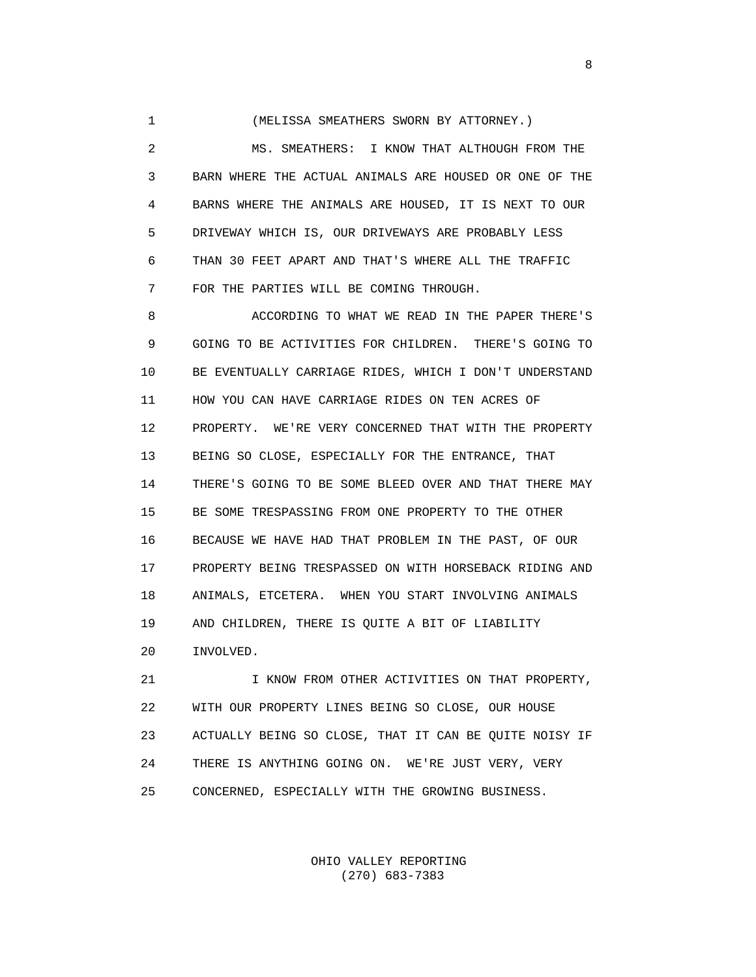1 (MELISSA SMEATHERS SWORN BY ATTORNEY.)

 2 MS. SMEATHERS: I KNOW THAT ALTHOUGH FROM THE 3 BARN WHERE THE ACTUAL ANIMALS ARE HOUSED OR ONE OF THE 4 BARNS WHERE THE ANIMALS ARE HOUSED, IT IS NEXT TO OUR 5 DRIVEWAY WHICH IS, OUR DRIVEWAYS ARE PROBABLY LESS 6 THAN 30 FEET APART AND THAT'S WHERE ALL THE TRAFFIC 7 FOR THE PARTIES WILL BE COMING THROUGH.

 8 ACCORDING TO WHAT WE READ IN THE PAPER THERE'S 9 GOING TO BE ACTIVITIES FOR CHILDREN. THERE'S GOING TO 10 BE EVENTUALLY CARRIAGE RIDES, WHICH I DON'T UNDERSTAND 11 HOW YOU CAN HAVE CARRIAGE RIDES ON TEN ACRES OF 12 PROPERTY. WE'RE VERY CONCERNED THAT WITH THE PROPERTY 13 BEING SO CLOSE, ESPECIALLY FOR THE ENTRANCE, THAT 14 THERE'S GOING TO BE SOME BLEED OVER AND THAT THERE MAY 15 BE SOME TRESPASSING FROM ONE PROPERTY TO THE OTHER 16 BECAUSE WE HAVE HAD THAT PROBLEM IN THE PAST, OF OUR 17 PROPERTY BEING TRESPASSED ON WITH HORSEBACK RIDING AND 18 ANIMALS, ETCETERA. WHEN YOU START INVOLVING ANIMALS 19 AND CHILDREN, THERE IS QUITE A BIT OF LIABILITY 20 INVOLVED.

21 **I KNOW FROM OTHER ACTIVITIES ON THAT PROPERTY,**  22 WITH OUR PROPERTY LINES BEING SO CLOSE, OUR HOUSE 23 ACTUALLY BEING SO CLOSE, THAT IT CAN BE QUITE NOISY IF 24 THERE IS ANYTHING GOING ON. WE'RE JUST VERY, VERY 25 CONCERNED, ESPECIALLY WITH THE GROWING BUSINESS.

> OHIO VALLEY REPORTING (270) 683-7383

experience of the state of the state of the state of the state of the state of the state of the state of the s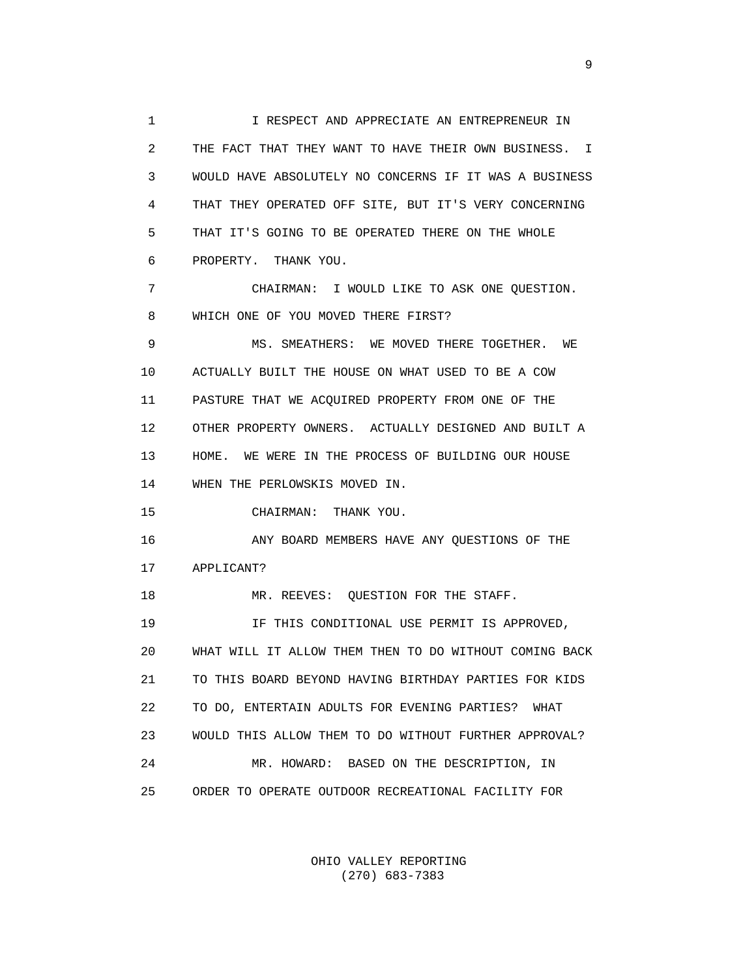1 I RESPECT AND APPRECIATE AN ENTREPRENEUR IN 2 THE FACT THAT THEY WANT TO HAVE THEIR OWN BUSINESS. I 3 WOULD HAVE ABSOLUTELY NO CONCERNS IF IT WAS A BUSINESS 4 THAT THEY OPERATED OFF SITE, BUT IT'S VERY CONCERNING 5 THAT IT'S GOING TO BE OPERATED THERE ON THE WHOLE 6 PROPERTY. THANK YOU.

 7 CHAIRMAN: I WOULD LIKE TO ASK ONE QUESTION. 8 WHICH ONE OF YOU MOVED THERE FIRST?

 9 MS. SMEATHERS: WE MOVED THERE TOGETHER. WE 10 ACTUALLY BUILT THE HOUSE ON WHAT USED TO BE A COW 11 PASTURE THAT WE ACQUIRED PROPERTY FROM ONE OF THE 12 OTHER PROPERTY OWNERS. ACTUALLY DESIGNED AND BUILT A 13 HOME. WE WERE IN THE PROCESS OF BUILDING OUR HOUSE 14 WHEN THE PERLOWSKIS MOVED IN.

15 CHAIRMAN: THANK YOU.

 16 ANY BOARD MEMBERS HAVE ANY QUESTIONS OF THE 17 APPLICANT?

18 MR. REEVES: OUESTION FOR THE STAFF.

 19 IF THIS CONDITIONAL USE PERMIT IS APPROVED, 20 WHAT WILL IT ALLOW THEM THEN TO DO WITHOUT COMING BACK 21 TO THIS BOARD BEYOND HAVING BIRTHDAY PARTIES FOR KIDS 22 TO DO, ENTERTAIN ADULTS FOR EVENING PARTIES? WHAT 23 WOULD THIS ALLOW THEM TO DO WITHOUT FURTHER APPROVAL? 24 MR. HOWARD: BASED ON THE DESCRIPTION, IN 25 ORDER TO OPERATE OUTDOOR RECREATIONAL FACILITY FOR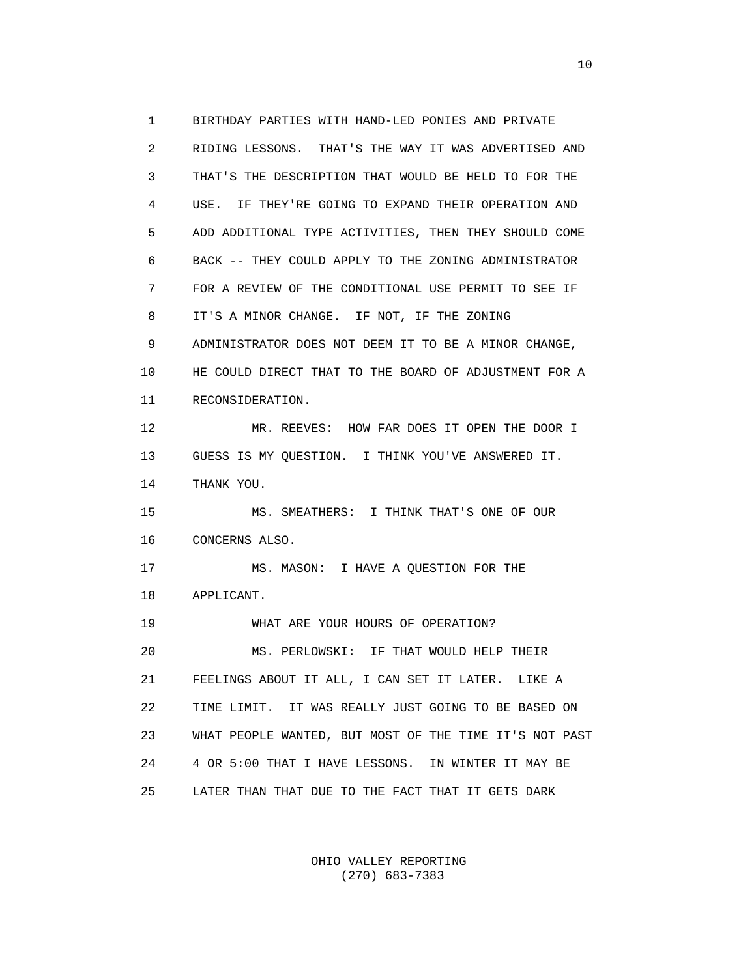1 BIRTHDAY PARTIES WITH HAND-LED PONIES AND PRIVATE 2 RIDING LESSONS. THAT'S THE WAY IT WAS ADVERTISED AND 3 THAT'S THE DESCRIPTION THAT WOULD BE HELD TO FOR THE 4 USE. IF THEY'RE GOING TO EXPAND THEIR OPERATION AND 5 ADD ADDITIONAL TYPE ACTIVITIES, THEN THEY SHOULD COME 6 BACK -- THEY COULD APPLY TO THE ZONING ADMINISTRATOR 7 FOR A REVIEW OF THE CONDITIONAL USE PERMIT TO SEE IF 8 IT'S A MINOR CHANGE. IF NOT, IF THE ZONING 9 ADMINISTRATOR DOES NOT DEEM IT TO BE A MINOR CHANGE, 10 HE COULD DIRECT THAT TO THE BOARD OF ADJUSTMENT FOR A 11 RECONSIDERATION. 12 MR. REEVES: HOW FAR DOES IT OPEN THE DOOR I 13 GUESS IS MY QUESTION. I THINK YOU'VE ANSWERED IT. 14 THANK YOU. 15 MS. SMEATHERS: I THINK THAT'S ONE OF OUR 16 CONCERNS ALSO. 17 MS. MASON: I HAVE A QUESTION FOR THE 18 APPLICANT. 19 WHAT ARE YOUR HOURS OF OPERATION? 20 MS. PERLOWSKI: IF THAT WOULD HELP THEIR 21 FEELINGS ABOUT IT ALL, I CAN SET IT LATER. LIKE A 22 TIME LIMIT. IT WAS REALLY JUST GOING TO BE BASED ON 23 WHAT PEOPLE WANTED, BUT MOST OF THE TIME IT'S NOT PAST 24 4 OR 5:00 THAT I HAVE LESSONS. IN WINTER IT MAY BE 25 LATER THAN THAT DUE TO THE FACT THAT IT GETS DARK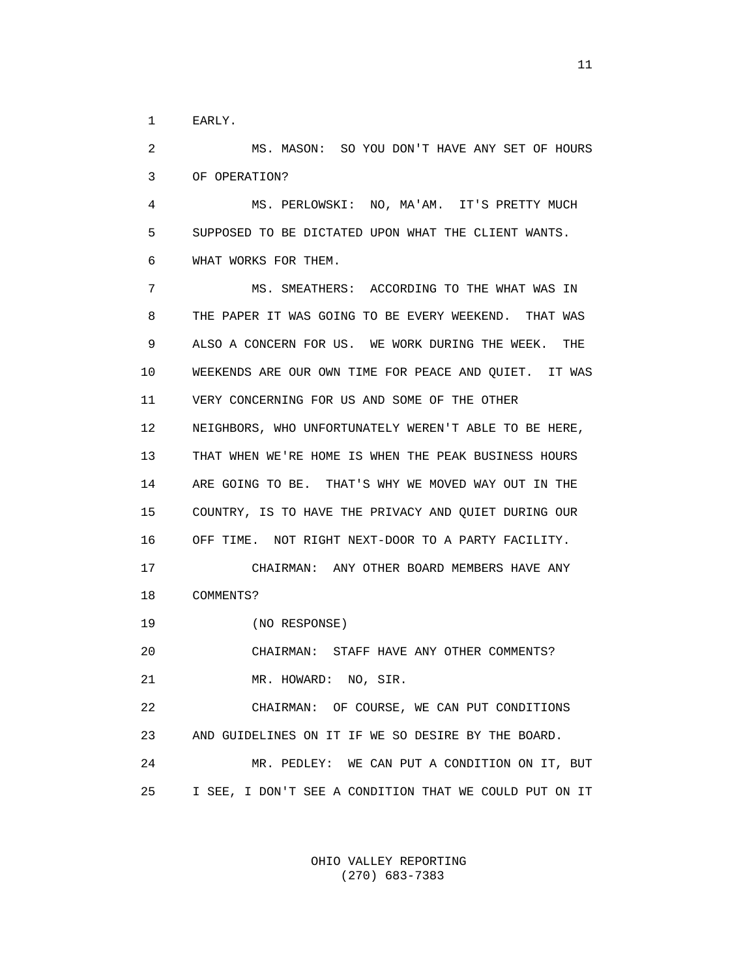1 EARLY.

 2 MS. MASON: SO YOU DON'T HAVE ANY SET OF HOURS 3 OF OPERATION?

 4 MS. PERLOWSKI: NO, MA'AM. IT'S PRETTY MUCH 5 SUPPOSED TO BE DICTATED UPON WHAT THE CLIENT WANTS. 6 WHAT WORKS FOR THEM.

 7 MS. SMEATHERS: ACCORDING TO THE WHAT WAS IN 8 THE PAPER IT WAS GOING TO BE EVERY WEEKEND. THAT WAS 9 ALSO A CONCERN FOR US. WE WORK DURING THE WEEK. THE 10 WEEKENDS ARE OUR OWN TIME FOR PEACE AND QUIET. IT WAS 11 VERY CONCERNING FOR US AND SOME OF THE OTHER 12 NEIGHBORS, WHO UNFORTUNATELY WEREN'T ABLE TO BE HERE, 13 THAT WHEN WE'RE HOME IS WHEN THE PEAK BUSINESS HOURS 14 ARE GOING TO BE. THAT'S WHY WE MOVED WAY OUT IN THE 15 COUNTRY, IS TO HAVE THE PRIVACY AND QUIET DURING OUR 16 OFF TIME. NOT RIGHT NEXT-DOOR TO A PARTY FACILITY. 17 CHAIRMAN: ANY OTHER BOARD MEMBERS HAVE ANY 18 COMMENTS? 19 (NO RESPONSE) 20 CHAIRMAN: STAFF HAVE ANY OTHER COMMENTS? 21 MR. HOWARD: NO, SIR. 22 CHAIRMAN: OF COURSE, WE CAN PUT CONDITIONS 23 AND GUIDELINES ON IT IF WE SO DESIRE BY THE BOARD. 24 MR. PEDLEY: WE CAN PUT A CONDITION ON IT, BUT 25 I SEE, I DON'T SEE A CONDITION THAT WE COULD PUT ON IT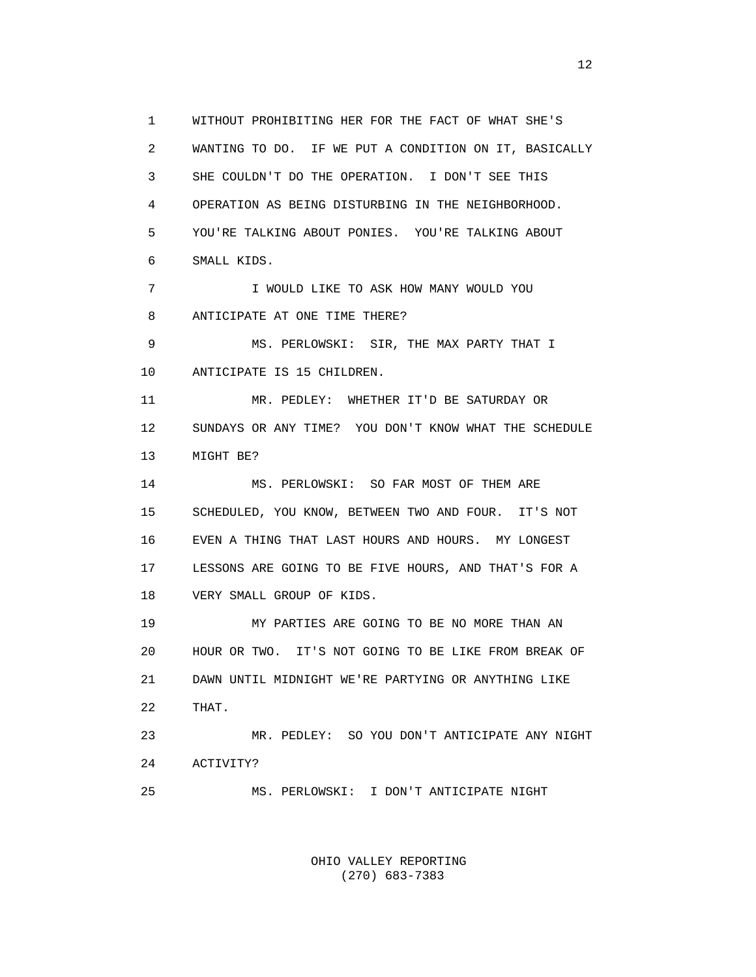1 WITHOUT PROHIBITING HER FOR THE FACT OF WHAT SHE'S 2 WANTING TO DO. IF WE PUT A CONDITION ON IT, BASICALLY 3 SHE COULDN'T DO THE OPERATION. I DON'T SEE THIS 4 OPERATION AS BEING DISTURBING IN THE NEIGHBORHOOD. 5 YOU'RE TALKING ABOUT PONIES. YOU'RE TALKING ABOUT 6 SMALL KIDS. 7 I WOULD LIKE TO ASK HOW MANY WOULD YOU 8 ANTICIPATE AT ONE TIME THERE? 9 MS. PERLOWSKI: SIR, THE MAX PARTY THAT I 10 ANTICIPATE IS 15 CHILDREN. 11 MR. PEDLEY: WHETHER IT'D BE SATURDAY OR 12 SUNDAYS OR ANY TIME? YOU DON'T KNOW WHAT THE SCHEDULE 13 MIGHT BE? 14 MS. PERLOWSKI: SO FAR MOST OF THEM ARE 15 SCHEDULED, YOU KNOW, BETWEEN TWO AND FOUR. IT'S NOT 16 EVEN A THING THAT LAST HOURS AND HOURS. MY LONGEST 17 LESSONS ARE GOING TO BE FIVE HOURS, AND THAT'S FOR A 18 VERY SMALL GROUP OF KIDS. 19 MY PARTIES ARE GOING TO BE NO MORE THAN AN 20 HOUR OR TWO. IT'S NOT GOING TO BE LIKE FROM BREAK OF 21 DAWN UNTIL MIDNIGHT WE'RE PARTYING OR ANYTHING LIKE 22 THAT. 23 MR. PEDLEY: SO YOU DON'T ANTICIPATE ANY NIGHT 24 ACTIVITY? 25 MS. PERLOWSKI: I DON'T ANTICIPATE NIGHT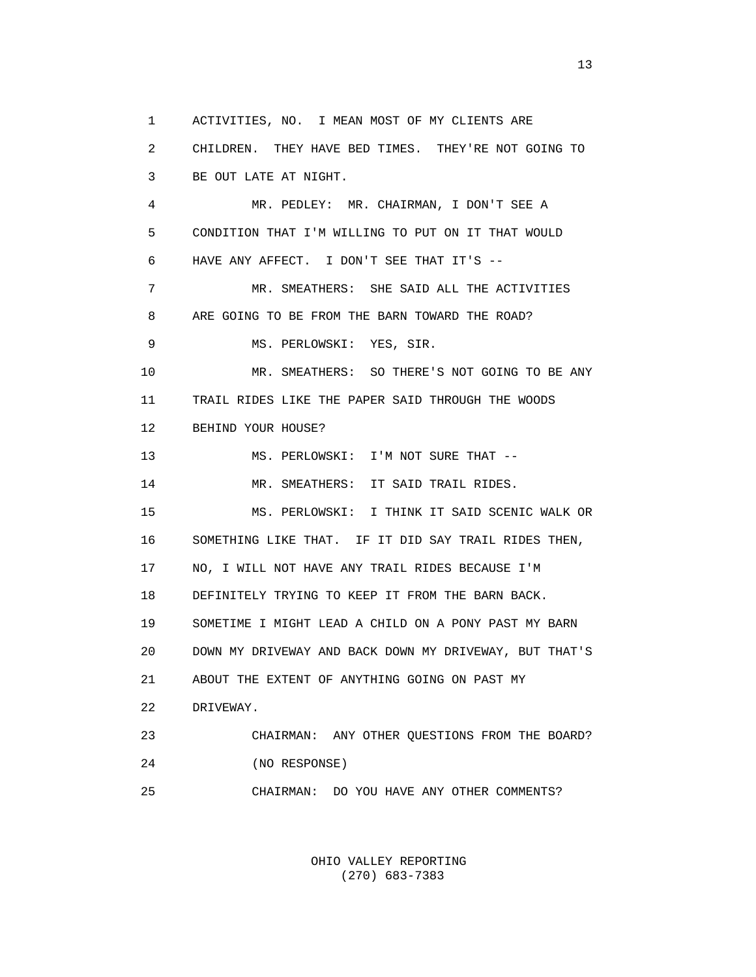1 ACTIVITIES, NO. I MEAN MOST OF MY CLIENTS ARE

 2 CHILDREN. THEY HAVE BED TIMES. THEY'RE NOT GOING TO 3 BE OUT LATE AT NIGHT.

 4 MR. PEDLEY: MR. CHAIRMAN, I DON'T SEE A 5 CONDITION THAT I'M WILLING TO PUT ON IT THAT WOULD 6 HAVE ANY AFFECT. I DON'T SEE THAT IT'S -- 7 MR. SMEATHERS: SHE SAID ALL THE ACTIVITIES 8 ARE GOING TO BE FROM THE BARN TOWARD THE ROAD? 9 MS. PERLOWSKI: YES, SIR. 10 MR. SMEATHERS: SO THERE'S NOT GOING TO BE ANY 11 TRAIL RIDES LIKE THE PAPER SAID THROUGH THE WOODS 12 BEHIND YOUR HOUSE? 13 MS. PERLOWSKI: I'M NOT SURE THAT -- 14 MR. SMEATHERS: IT SAID TRAIL RIDES. 15 MS. PERLOWSKI: I THINK IT SAID SCENIC WALK OR 16 SOMETHING LIKE THAT. IF IT DID SAY TRAIL RIDES THEN, 17 NO, I WILL NOT HAVE ANY TRAIL RIDES BECAUSE I'M 18 DEFINITELY TRYING TO KEEP IT FROM THE BARN BACK. 19 SOMETIME I MIGHT LEAD A CHILD ON A PONY PAST MY BARN 20 DOWN MY DRIVEWAY AND BACK DOWN MY DRIVEWAY, BUT THAT'S 21 ABOUT THE EXTENT OF ANYTHING GOING ON PAST MY 22 DRIVEWAY. 23 CHAIRMAN: ANY OTHER QUESTIONS FROM THE BOARD? 24 (NO RESPONSE) 25 CHAIRMAN: DO YOU HAVE ANY OTHER COMMENTS?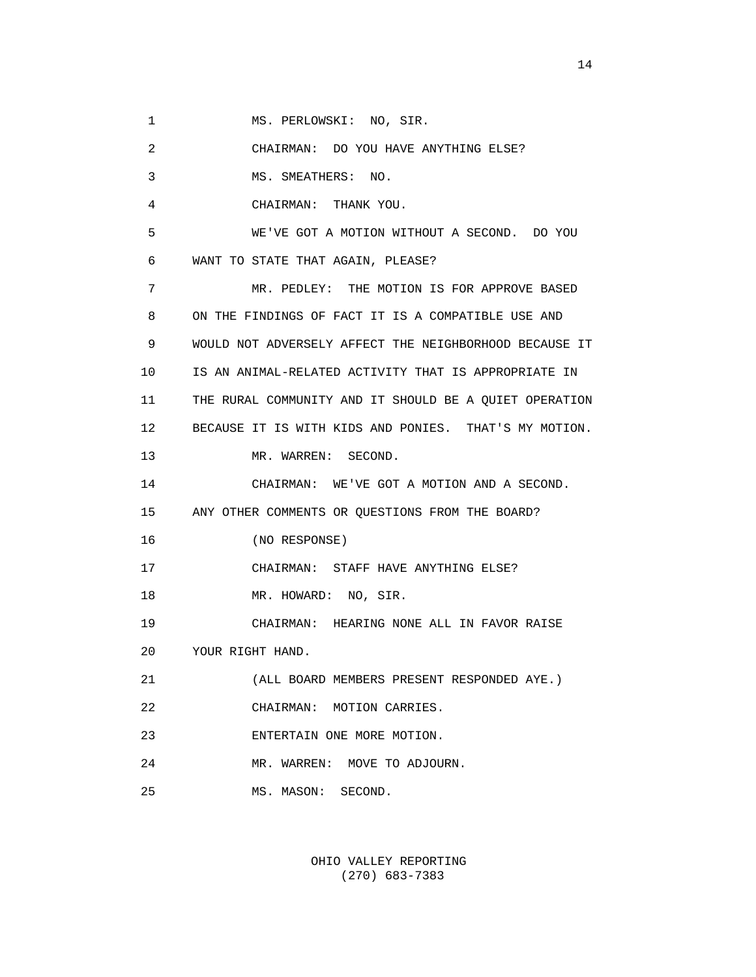1 MS. PERLOWSKI: NO, SIR.

 2 CHAIRMAN: DO YOU HAVE ANYTHING ELSE? 3 MS. SMEATHERS: NO. 4 CHAIRMAN: THANK YOU. 5 WE'VE GOT A MOTION WITHOUT A SECOND. DO YOU 6 WANT TO STATE THAT AGAIN, PLEASE? 7 MR. PEDLEY: THE MOTION IS FOR APPROVE BASED 8 ON THE FINDINGS OF FACT IT IS A COMPATIBLE USE AND 9 WOULD NOT ADVERSELY AFFECT THE NEIGHBORHOOD BECAUSE IT 10 IS AN ANIMAL-RELATED ACTIVITY THAT IS APPROPRIATE IN 11 THE RURAL COMMUNITY AND IT SHOULD BE A QUIET OPERATION 12 BECAUSE IT IS WITH KIDS AND PONIES. THAT'S MY MOTION. 13 MR. WARREN: SECOND. 14 CHAIRMAN: WE'VE GOT A MOTION AND A SECOND. 15 ANY OTHER COMMENTS OR QUESTIONS FROM THE BOARD? 16 (NO RESPONSE) 17 CHAIRMAN: STAFF HAVE ANYTHING ELSE? 18 MR. HOWARD: NO, SIR. 19 CHAIRMAN: HEARING NONE ALL IN FAVOR RAISE 20 YOUR RIGHT HAND. 21 (ALL BOARD MEMBERS PRESENT RESPONDED AYE.) 22 CHAIRMAN: MOTION CARRIES. 23 ENTERTAIN ONE MORE MOTION. 24 MR. WARREN: MOVE TO ADJOURN. 25 MS. MASON: SECOND.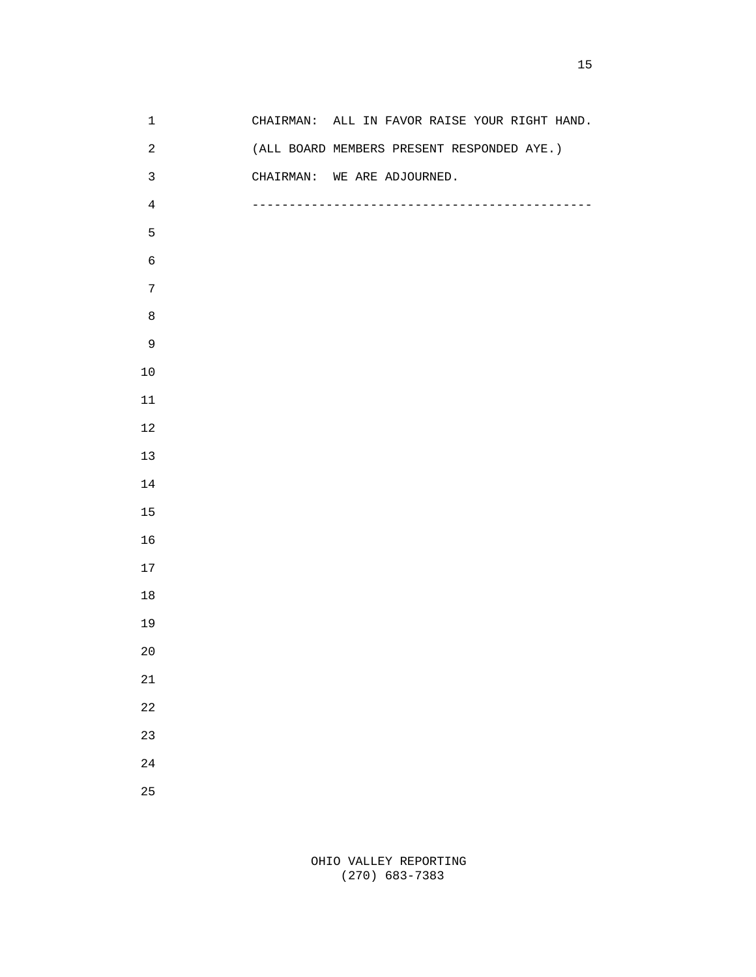| $1\,$          | CHAIRMAN: ALL IN FAVOR RAISE YOUR RIGHT HAND. |
|----------------|-----------------------------------------------|
| $\overline{c}$ | (ALL BOARD MEMBERS PRESENT RESPONDED AYE.)    |
| $\mathbf{3}$   | CHAIRMAN: WE ARE ADJOURNED.                   |
| $\overline{4}$ |                                               |
| 5              |                                               |
| $\epsilon$     |                                               |
| $\overline{7}$ |                                               |
| $\,8\,$        |                                               |
| $\mathsf 9$    |                                               |
| $10\,$         |                                               |
| $11\,$         |                                               |
| $12\,$         |                                               |
| $13$           |                                               |
| $14\,$         |                                               |
| $15\,$         |                                               |
| 16             |                                               |
| $17$           |                                               |
| $18\,$         |                                               |
| 19             |                                               |
| $20\,$         |                                               |
| $2\sqrt{1}$    |                                               |
| 22             |                                               |
| 23             |                                               |
| $2\sqrt{4}$    |                                               |
|                |                                               |